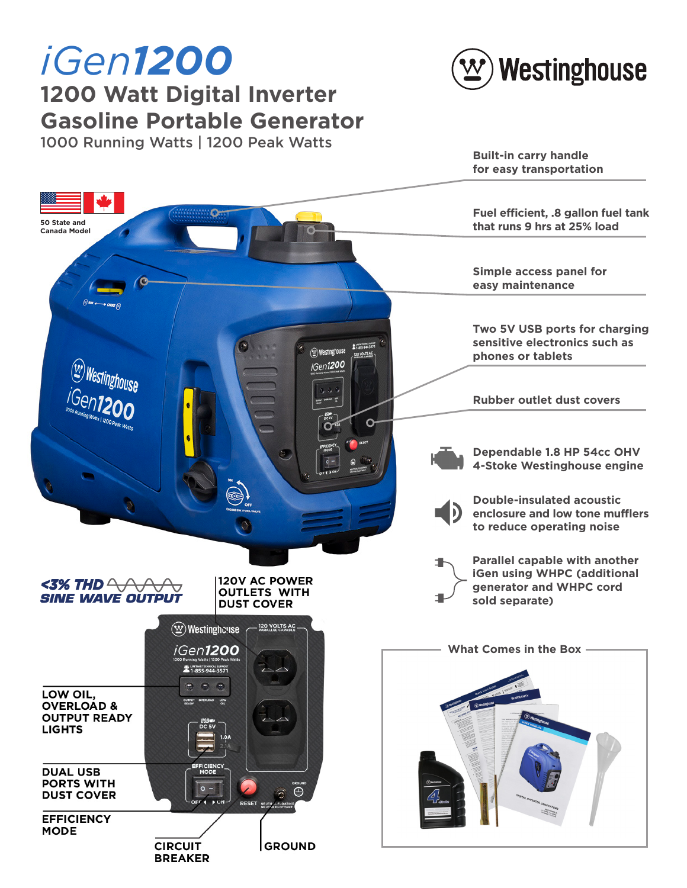## *iGen1200* **1200 Watt Digital Inverter Gasoline Portable Generator**

1000 Running Watts | 1200 Peak Watts



**Built-in carry handle for easy transportation**